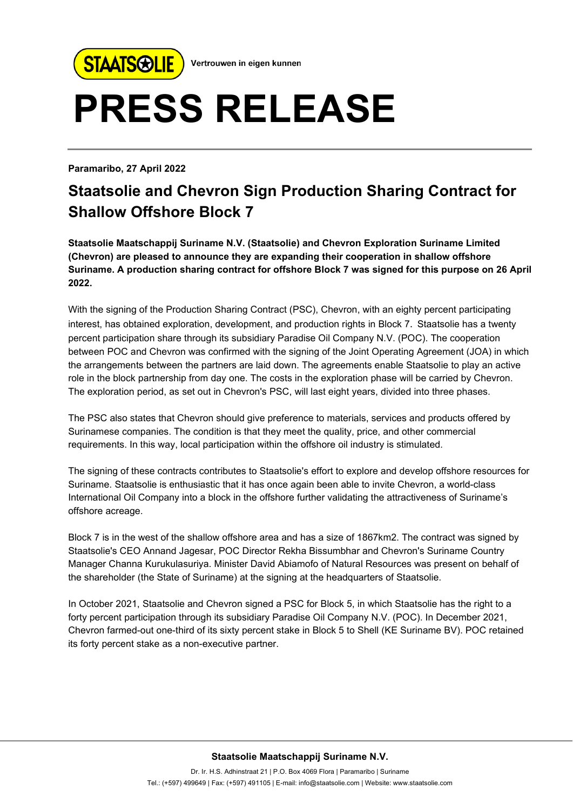

Vertrouwen in eigen kunnen

## **PRESS RELEASE**

**Paramaribo, 27 April 2022**

## **Staatsolie and Chevron Sign Production Sharing Contract for Shallow Offshore Block 7**

**Staatsolie Maatschappij Suriname N.V. (Staatsolie) and Chevron Exploration Suriname Limited (Chevron) are pleased to announce they are expanding their cooperation in shallow offshore Suriname. A production sharing contract for offshore Block 7 was signed for this purpose on 26 April 2022.**

With the signing of the Production Sharing Contract (PSC), Chevron, with an eighty percent participating interest, has obtained exploration, development, and production rights in Block 7. Staatsolie has a twenty percent participation share through its subsidiary Paradise Oil Company N.V. (POC). The cooperation between POC and Chevron was confirmed with the signing of the Joint Operating Agreement (JOA) in which the arrangements between the partners are laid down. The agreements enable Staatsolie to play an active role in the block partnership from day one. The costs in the exploration phase will be carried by Chevron. The exploration period, as set out in Chevron's PSC, will last eight years, divided into three phases.

The PSC also states that Chevron should give preference to materials, services and products offered by Surinamese companies. The condition is that they meet the quality, price, and other commercial requirements. In this way, local participation within the offshore oil industry is stimulated.

The signing of these contracts contributes to Staatsolie's effort to explore and develop offshore resources for Suriname. Staatsolie is enthusiastic that it has once again been able to invite Chevron, a world-class International Oil Company into a block in the offshore further validating the attractiveness of Suriname's offshore acreage.

Block 7 is in the west of the shallow offshore area and has a size of 1867km2. The contract was signed by Staatsolie's CEO Annand Jagesar, POC Director Rekha Bissumbhar and Chevron's Suriname Country Manager Channa Kurukulasuriya. Minister David Abiamofo of Natural Resources was present on behalf of the shareholder (the State of Suriname) at the signing at the headquarters of Staatsolie.

In October 2021, Staatsolie and Chevron signed a PSC for Block 5, in which Staatsolie has the right to a forty percent participation through its subsidiary Paradise Oil Company N.V. (POC). In December 2021, Chevron farmed-out one-third of its sixty percent stake in Block 5 to Shell (KE Suriname BV). POC retained its forty percent stake as a non-executive partner.

## **Staatsolie Maatschappij Suriname N.V.**